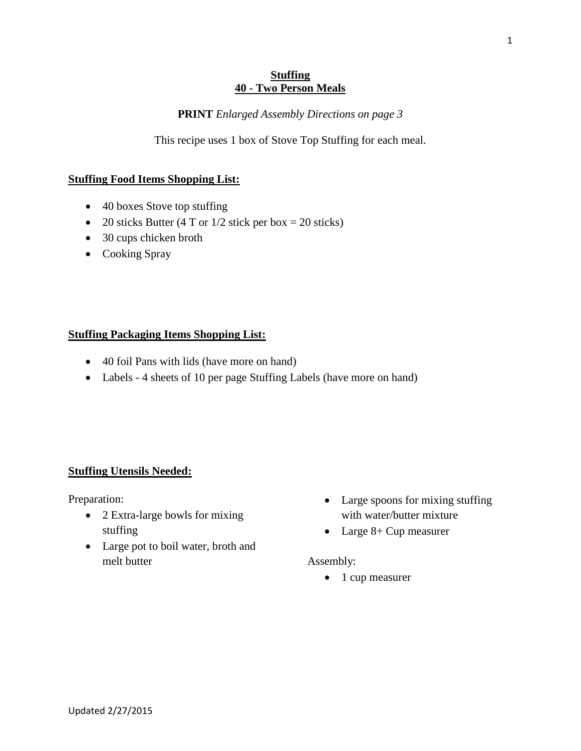#### **Stuffing 40 - Two Person Meals**

### **PRINT** *Enlarged Assembly Directions on page 3*

This recipe uses 1 box of Stove Top Stuffing for each meal.

## **Stuffing Food Items Shopping List:**

- 40 boxes Stove top stuffing
- 20 sticks Butter (4 T or  $1/2$  stick per box = 20 sticks)
- 30 cups chicken broth
- Cooking Spray

#### **Stuffing Packaging Items Shopping List:**

- 40 foil Pans with lids (have more on hand)
- Labels 4 sheets of 10 per page Stuffing Labels (have more on hand)

## **Stuffing Utensils Needed:**

Preparation:

- 2 Extra-large bowls for mixing stuffing
- Large pot to boil water, broth and melt butter
- Large spoons for mixing stuffing with water/butter mixture
- Large 8+ Cup measurer

#### Assembly:

• 1 cup measurer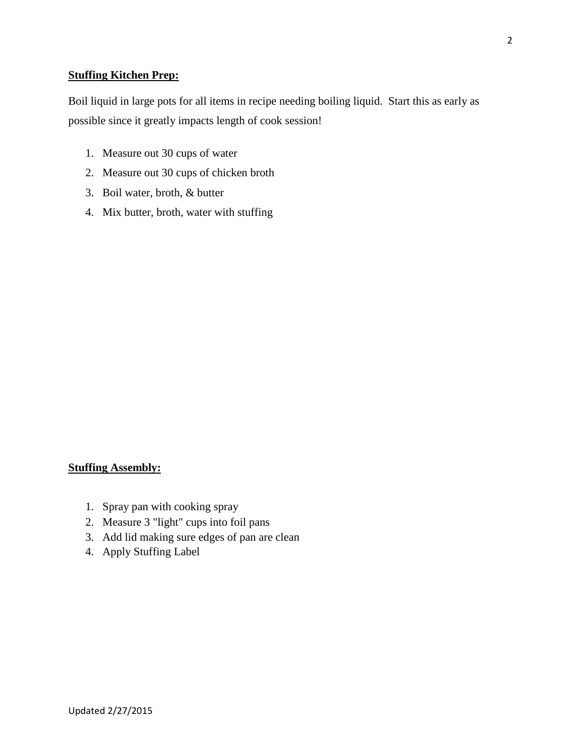## **Stuffing Kitchen Prep:**

Boil liquid in large pots for all items in recipe needing boiling liquid. Start this as early as possible since it greatly impacts length of cook session!

- 1. Measure out 30 cups of water
- 2. Measure out 30 cups of chicken broth
- 3. Boil water, broth, & butter
- 4. Mix butter, broth, water with stuffing

## **Stuffing Assembly:**

- 1. Spray pan with cooking spray
- 2. Measure 3 "light" cups into foil pans
- 3. Add lid making sure edges of pan are clean
- 4. Apply Stuffing Label